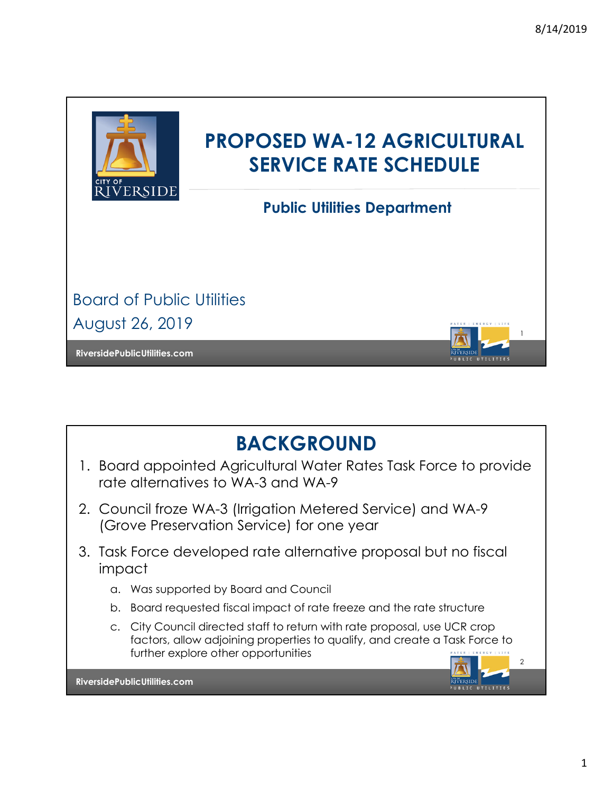1

BLIC UTILITIES

 $\mathcal{L}$ 

UBLIC UTILITIES



# **PROPOSED WA-12 AGRICULTURAL SERVICE RATE SCHEDULE**

**Public Utilities Department**

Board of Public Utilities August 26, 2019

**RiversidePublicUtilities.com**



- 1. Board appointed Agricultural Water Rates Task Force to provide rate alternatives to WA-3 and WA-9
- 2. Council froze WA-3 (Irrigation Metered Service) and WA-9 (Grove Preservation Service) for one year
- 3. Task Force developed rate alternative proposal but no fiscal impact
	- a. Was supported by Board and Council
	- b. Board requested fiscal impact of rate freeze and the rate structure
	- c. City Council directed staff to return with rate proposal, use UCR crop factors, allow adjoining properties to qualify, and create a Task Force to further explore other opportunities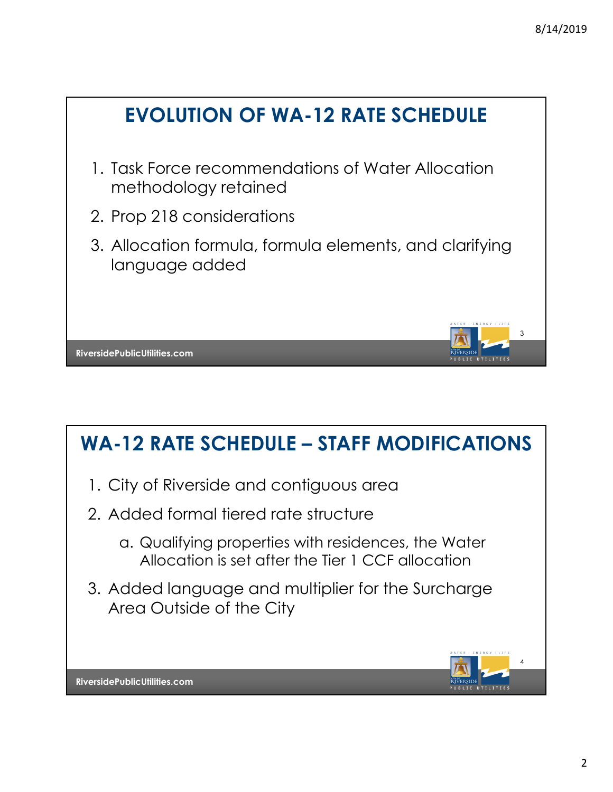

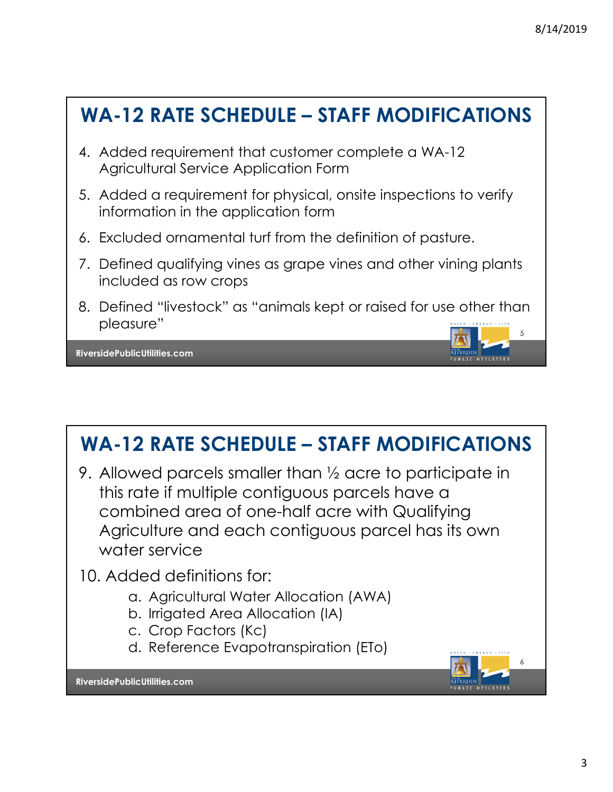

# **WA-12 RATE SCHEDULE – STAFF MODIFICATIONS**

- 9. Allowed parcels smaller than ½ acre to participate in this rate if multiple contiguous parcels have a combined area of one-half acre with Qualifying Agriculture and each contiguous parcel has its own water service
- 10. Added definitions for:
	- a. Agricultural Water Allocation (AWA)
	- b. Irrigated Area Allocation (IA)
	- c. Crop Factors (Kc)
	- d. Reference Evapotranspiration (ETo)

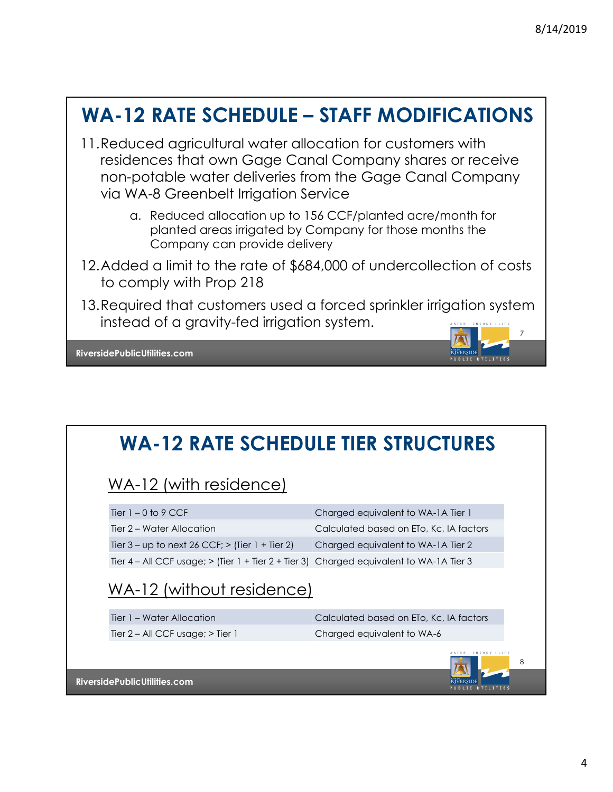## **WA-12 RATE SCHEDULE – STAFF MODIFICATIONS**

- 11.Reduced agricultural water allocation for customers with residences that own Gage Canal Company shares or receive non-potable water deliveries from the Gage Canal Company via WA-8 Greenbelt Irrigation Service
	- a. Reduced allocation up to 156 CCF/planted acre/month for planted areas irrigated by Company for those months the Company can provide delivery
- 12.Added a limit to the rate of \$684,000 of undercollection of costs to comply with Prop 218
- 7 13. Required that customers used a forced sprinkler irrigation system instead of a gravity-fed irrigation system.

**RiversidePublicUtilities.com**

## **WA-12 RATE SCHEDULE TIER STRUCTURES**

#### WA-12 (with residence)

| Tier $1 - 0$ to 9 CCF                                                                     | Charged equivalent to WA-1A Tier 1      |
|-------------------------------------------------------------------------------------------|-----------------------------------------|
| Tier 2 – Water Allocation                                                                 | Calculated based on ETo, Kc, IA factors |
| Tier $3 -$ up to next 26 CCF; $>$ (Tier 1 + Tier 2)                                       | Charged equivalent to WA-1A Tier 2      |
| Tier 4 – All CCF usage; $>$ (Tier 1 + Tier 2 + Tier 3) Charged equivalent to WA-1A Tier 3 |                                         |

#### WA-12 (without residence)

| Tier 1 – Water Allocation             | Calculated based on ETo, Kc, IA factors |
|---------------------------------------|-----------------------------------------|
| Tier $2 - All CCF usage$ ; $>$ Tier 1 | Charged equivalent to WA-6              |
|                                       | WATER   ENERGY   LIFE                   |



8

UBLIC UTILITIES

**EVERSIDE**<br>PUBLIC UTILITIES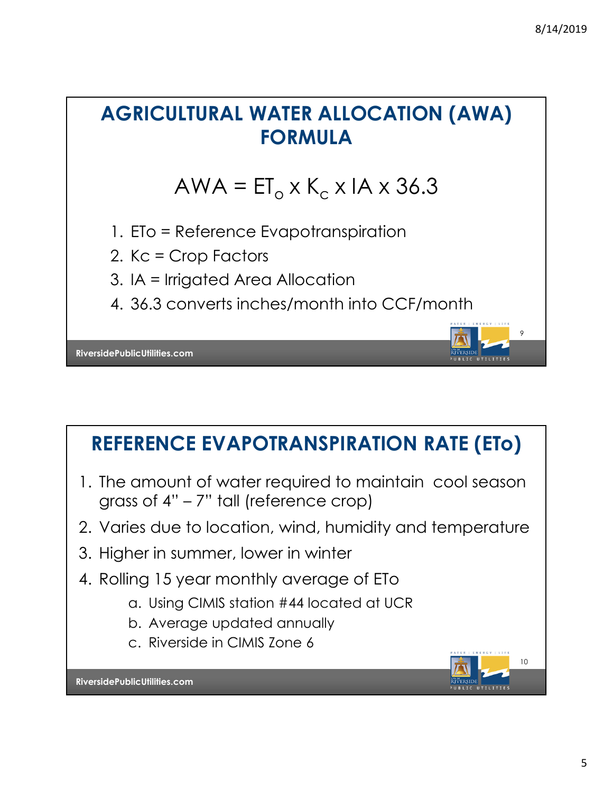# **AGRICULTURAL WATER ALLOCATION (AWA) FORMULA**

# $AWA = ET_0 \times K_c \times IA \times 36.3$

- 1. ETo = Reference Evapotranspiration
- 2. Kc = Crop Factors
- 3. IA = Irrigated Area Allocation
- 4. 36.3 converts inches/month into CCF/month

**RiversidePublicUtilities.com**

## **REFERENCE EVAPOTRANSPIRATION RATE (ETo)**

- 1. The amount of water required to maintain cool season grass of 4" – 7" tall (reference crop)
- 2. Varies due to location, wind, humidity and temperature
- 3. Higher in summer, lower in winter
- 4. Rolling 15 year monthly average of ETo
	- a. Using CIMIS station #44 located at UCR
	- b. Average updated annually
	- c. Riverside in CIMIS Zone 6



9

BLIC UTILITIES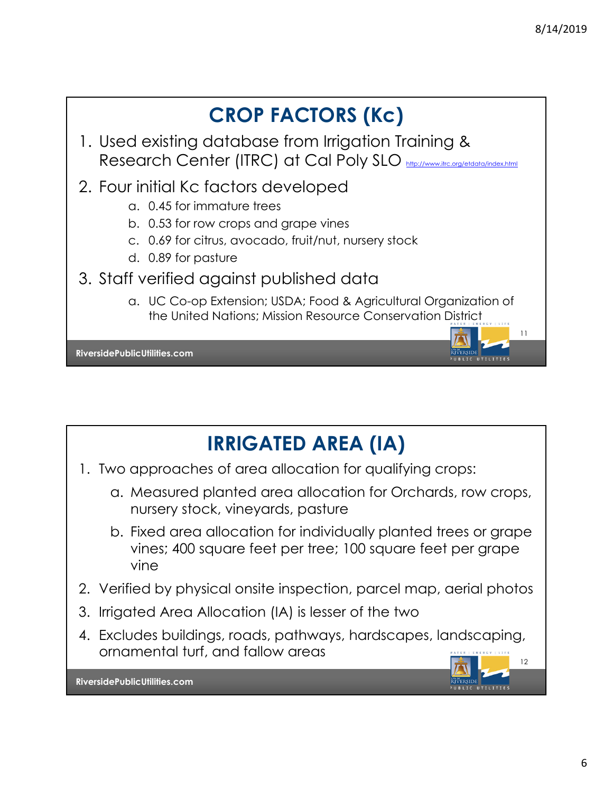



- 1. Two approaches of area allocation for qualifying crops:
	- a. Measured planted area allocation for Orchards, row crops, nursery stock, vineyards, pasture
	- b. Fixed area allocation for individually planted trees or grape vines; 400 square feet per tree; 100 square feet per grape vine
- 2. Verified by physical onsite inspection, parcel map, aerial photos
- 3. Irrigated Area Allocation (IA) is lesser of the two
- 4. Excludes buildings, roads, pathways, hardscapes, landscaping, ornamental turf, and fallow areas

12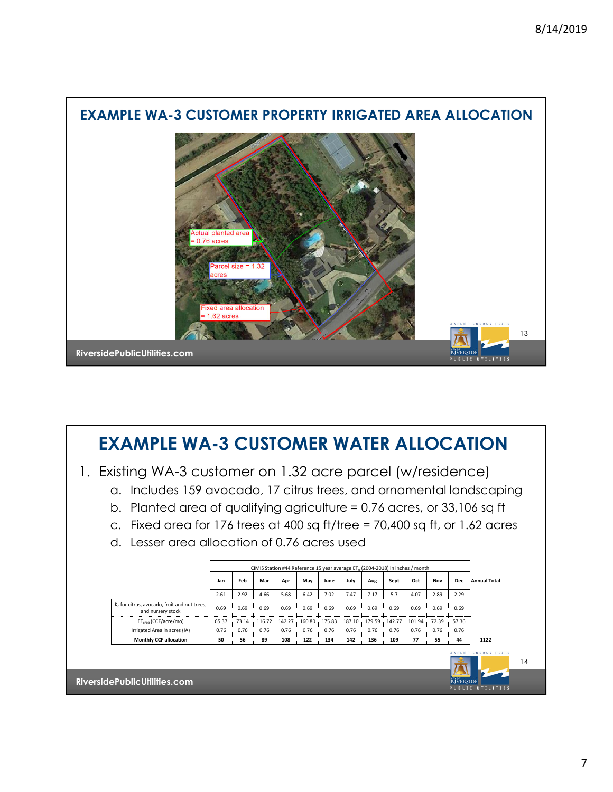

### **EXAMPLE WA-3 CUSTOMER WATER ALLOCATION**

- 1. Existing WA-3 customer on 1.32 acre parcel (w/residence)
	- a. Includes 159 avocado, 17 citrus trees, and ornamental landscaping
	- b. Planted area of qualifying agriculture = 0.76 acres, or 33,106 sq ft
	- c. Fixed area for 176 trees at 400 sq ft/tree = 70,400 sq ft, or 1.62 acres
	- d. Lesser area allocation of 0.76 acres used

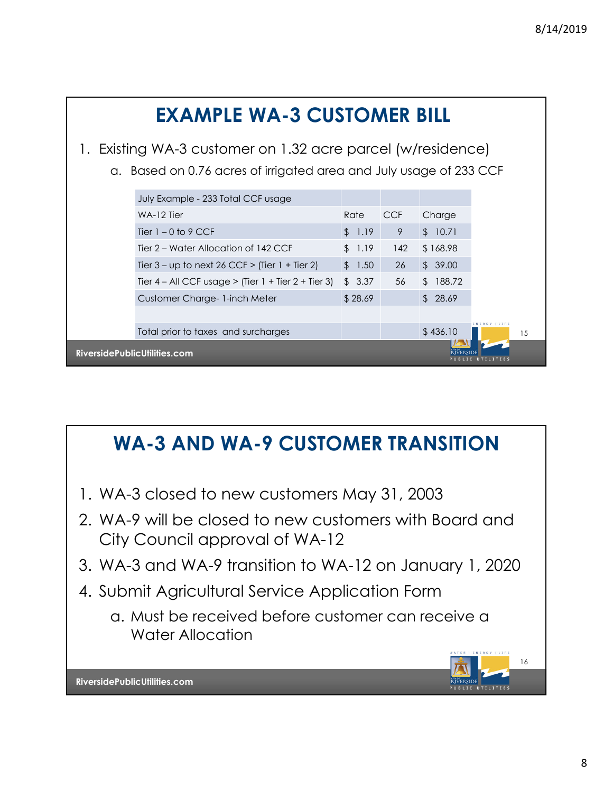

## **WA-3 AND WA-9 CUSTOMER TRANSITION**

- 1. WA-3 closed to new customers May 31, 2003
- 2. WA-9 will be closed to new customers with Board and City Council approval of WA-12
- 3. WA-3 and WA-9 transition to WA-12 on January 1, 2020
- 4. Submit Agricultural Service Application Form
	- a. Must be received before customer can receive a Water Allocation

16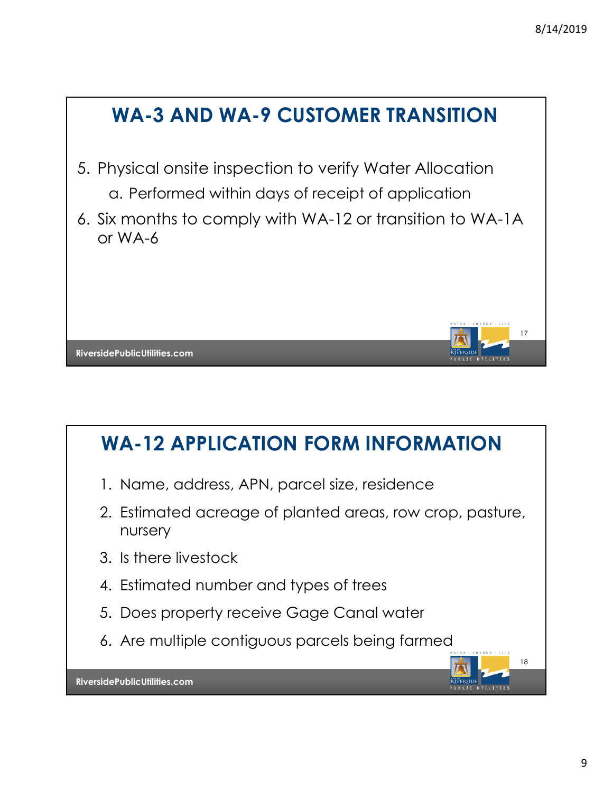

# **WA-12 APPLICATION FORM INFORMATION**

- 1. Name, address, APN, parcel size, residence
- 2. Estimated acreage of planted areas, row crop, pasture, nursery
- 3. Is there livestock
- 4. Estimated number and types of trees
- 5. Does property receive Gage Canal water
- 6. Are multiple contiguous parcels being farmed

18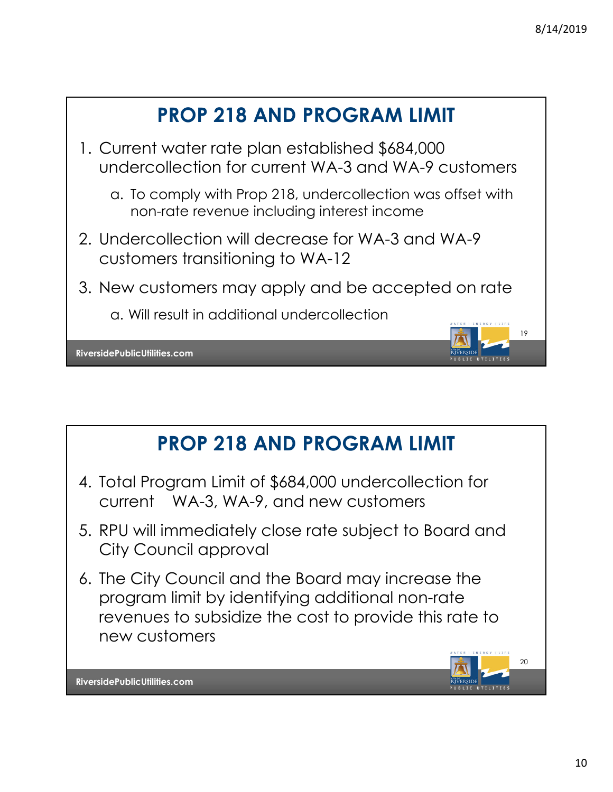